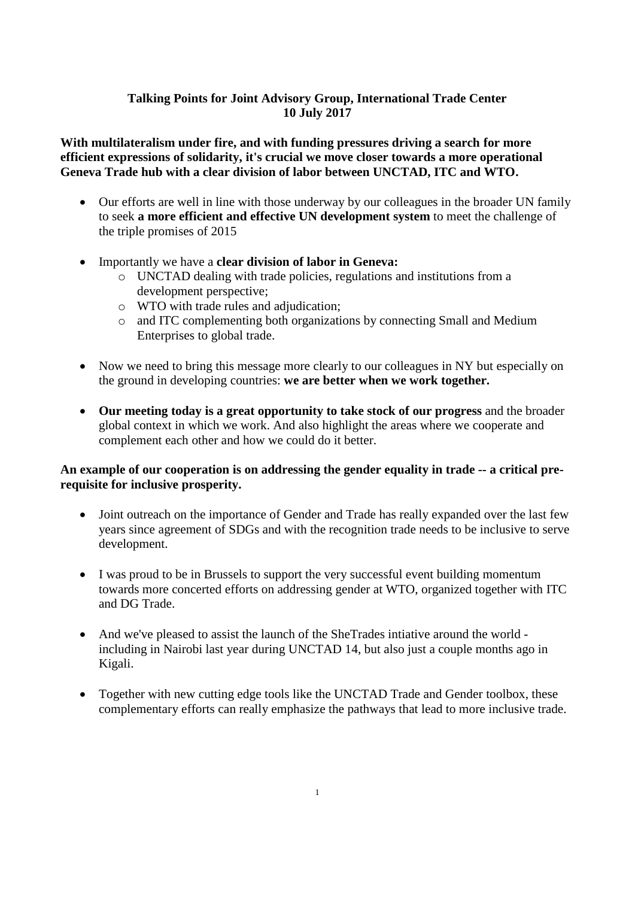# **Talking Points for Joint Advisory Group, International Trade Center 10 July 2017**

**With multilateralism under fire, and with funding pressures driving a search for more efficient expressions of solidarity, it's crucial we move closer towards a more operational Geneva Trade hub with a clear division of labor between UNCTAD, ITC and WTO.**

- Our efforts are well in line with those underway by our colleagues in the broader UN family to seek **a more efficient and effective UN development system** to meet the challenge of the triple promises of 2015
- Importantly we have a **clear division of labor in Geneva:**
	- o UNCTAD dealing with trade policies, regulations and institutions from a development perspective;
	- o WTO with trade rules and adjudication;
	- o and ITC complementing both organizations by connecting Small and Medium Enterprises to global trade.
- Now we need to bring this message more clearly to our colleagues in NY but especially on the ground in developing countries: **we are better when we work together.**
- **Our meeting today is a great opportunity to take stock of our progress** and the broader global context in which we work. And also highlight the areas where we cooperate and complement each other and how we could do it better.

## **An example of our cooperation is on addressing the gender equality in trade -- a critical prerequisite for inclusive prosperity.**

- Joint outreach on the importance of Gender and Trade has really expanded over the last few years since agreement of SDGs and with the recognition trade needs to be inclusive to serve development.
- I was proud to be in Brussels to support the very successful event building momentum towards more concerted efforts on addressing gender at WTO, organized together with ITC and DG Trade.
- And we've pleased to assist the launch of the SheTrades intiative around the world including in Nairobi last year during UNCTAD 14, but also just a couple months ago in Kigali.
- Together with new cutting edge tools like the UNCTAD Trade and Gender toolbox, these complementary efforts can really emphasize the pathways that lead to more inclusive trade.